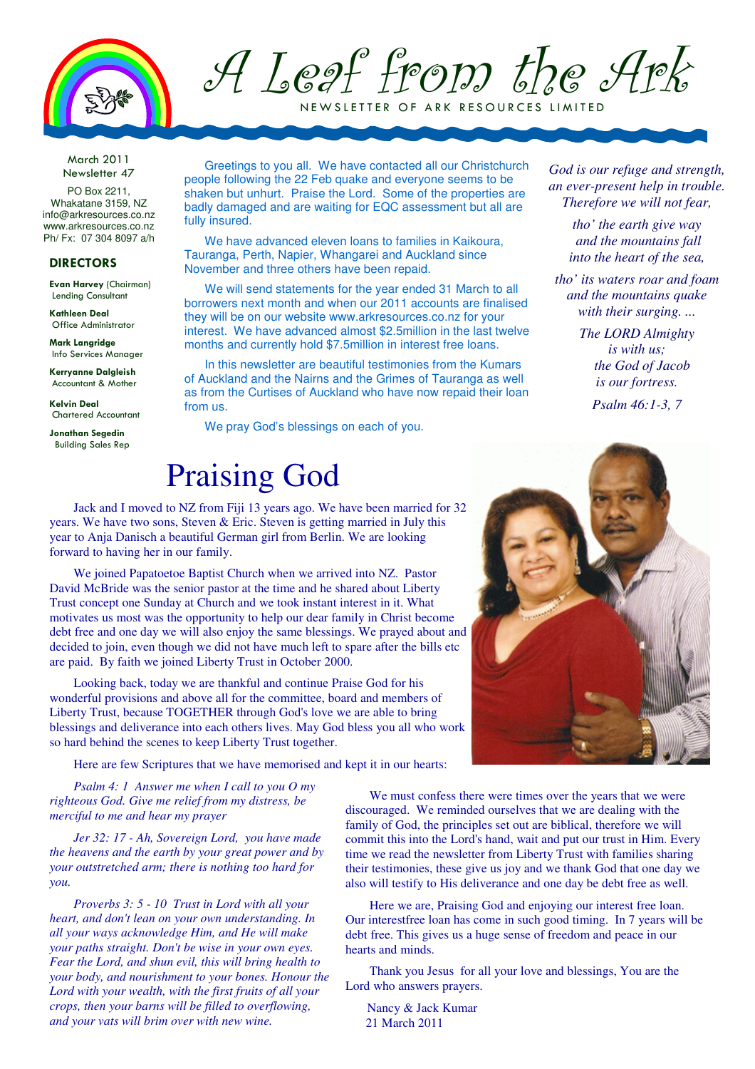

A Leaf from the Ark

NEW SLETTER OF ARK RESOURCES LIMITED

March 2011 Newsletter 47

PO Box 2211, Whakatane 3159, NZ info@arkresources.co.nz www.arkresources.co.nz Ph/ Fx: 07 304 8097 a/h

#### DIRECTORS

Evan Harvey (Chairman) Lending Consultant

Kathleen Deal Office Administrator

Mark Langridge Info Services Manager

Kerryanne Dalgleish Accountant & Mother

Kelvin Deal Chartered Accountant

Jonathan Segedin Building Sales Rep

Greetings to you all. We have contacted all our Christchurch people following the 22 Feb quake and everyone seems to be shaken but unhurt. Praise the Lord. Some of the properties are badly damaged and are waiting for EQC assessment but all are fully insured.

We have advanced eleven loans to families in Kaikoura, Tauranga, Perth, Napier, Whangarei and Auckland since November and three others have been repaid.

We will send statements for the year ended 31 March to all borrowers next month and when our 2011 accounts are finalised they will be on our website www.arkresources.co.nz for your interest. We have advanced almost \$2.5million in the last twelve months and currently hold \$7.5million in interest free loans.

In this newsletter are beautiful testimonies from the Kumars of Auckland and the Nairns and the Grimes of Tauranga as well as from the Curtises of Auckland who have now repaid their loan from us.

We pray God's blessings on each of you.

#### Praising God

Jack and I moved to NZ from Fiji 13 years ago. We have been married for 32 years. We have two sons, Steven & Eric. Steven is getting married in July this year to Anja Danisch a beautiful German girl from Berlin. We are looking forward to having her in our family.

We joined Papatoetoe Baptist Church when we arrived into NZ. Pastor David McBride was the senior pastor at the time and he shared about Liberty Trust concept one Sunday at Church and we took instant interest in it. What motivates us most was the opportunity to help our dear family in Christ become debt free and one day we will also enjoy the same blessings. We prayed about and decided to join, even though we did not have much left to spare after the bills etc are paid. By faith we joined Liberty Trust in October 2000.

Looking back, today we are thankful and continue Praise God for his wonderful provisions and above all for the committee, board and members of Liberty Trust, because TOGETHER through God's love we are able to bring blessings and deliverance into each others lives. May God bless you all who work so hard behind the scenes to keep Liberty Trust together.

Here are few Scriptures that we have memorised and kept it in our hearts:

*Psalm 4: 1 Answer me when I call to you O my righteous God. Give me relief from my distress, be merciful to me and hear my prayer* 

*Jer 32: 17 - Ah, Sovereign Lord, you have made the heavens and the earth by your great power and by your outstretched arm; there is nothing too hard for you.* 

*Proverbs 3: 5 - 10 Trust in Lord with all your heart, and don't lean on your own understanding. In all your ways acknowledge Him, and He will make your paths straight. Don't be wise in your own eyes. Fear the Lord, and shun evil, this will bring health to your body, and nourishment to your bones. Honour the Lord with your wealth, with the first fruits of all your crops, then your barns will be filled to overflowing, and your vats will brim over with new wine.*

We must confess there were times over the years that we were discouraged. We reminded ourselves that we are dealing with the family of God, the principles set out are biblical, therefore we will commit this into the Lord's hand, wait and put our trust in Him. Every time we read the newsletter from Liberty Trust with families sharing their testimonies, these give us joy and we thank God that one day we also will testify to His deliverance and one day be debt free as well.

Here we are, Praising God and enjoying our interest free loan. Our interestfree loan has come in such good timing. In 7 years will be debt free. This gives us a huge sense of freedom and peace in our hearts and minds.

Thank you Jesus for all your love and blessings, You are the Lord who answers prayers.

Nancy & Jack Kumar 21 March 2011

*God is our refuge and strength, an ever-present help in trouble. Therefore we will not fear,* 

> *tho' the earth give way and the mountains fall into the heart of the sea,*

*tho' its waters roar and foam and the mountains quake with their surging. ...* 

> *The LORD Almighty is with us; the God of Jacob is our fortress.*

> > *Psalm 46:1-3, 7*